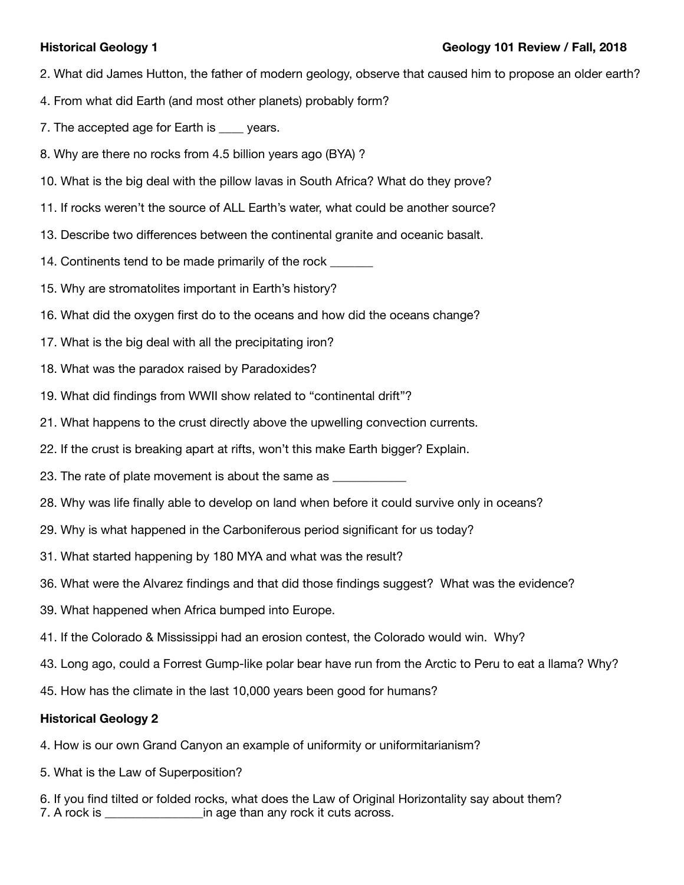- 2. What did James Hutton, the father of modern geology, observe that caused him to propose an older earth?
- 4. From what did Earth (and most other planets) probably form?
- 7. The accepted age for Earth is vears.
- 8. Why are there no rocks from 4.5 billion years ago (BYA) ?
- 10. What is the big deal with the pillow lavas in South Africa? What do they prove?
- 11. If rocks weren't the source of ALL Earth's water, what could be another source?
- 13. Describe two differences between the continental granite and oceanic basalt.
- 14. Continents tend to be made primarily of the rock
- 15. Why are stromatolites important in Earth's history?
- 16. What did the oxygen first do to the oceans and how did the oceans change?
- 17. What is the big deal with all the precipitating iron?
- 18. What was the paradox raised by Paradoxides?
- 19. What did findings from WWII show related to "continental drift"?
- 21. What happens to the crust directly above the upwelling convection currents.
- 22. If the crust is breaking apart at rifts, won't this make Earth bigger? Explain.
- 23. The rate of plate movement is about the same as
- 28. Why was life finally able to develop on land when before it could survive only in oceans?
- 29. Why is what happened in the Carboniferous period significant for us today?
- 31. What started happening by 180 MYA and what was the result?
- 36. What were the Alvarez findings and that did those findings suggest? What was the evidence?
- 39. What happened when Africa bumped into Europe.
- 41. If the Colorado & Mississippi had an erosion contest, the Colorado would win. Why?
- 43. Long ago, could a Forrest Gump-like polar bear have run from the Arctic to Peru to eat a llama? Why?
- 45. How has the climate in the last 10,000 years been good for humans?

# **Historical Geology 2**

- 4. How is our own Grand Canyon an example of uniformity or uniformitarianism?
- 5. What is the Law of Superposition?
- 6. If you find tilted or folded rocks, what does the Law of Original Horizontality say about them? 7. A rock is \_\_\_\_\_\_\_\_\_\_\_\_\_\_\_\_in age than any rock it cuts across.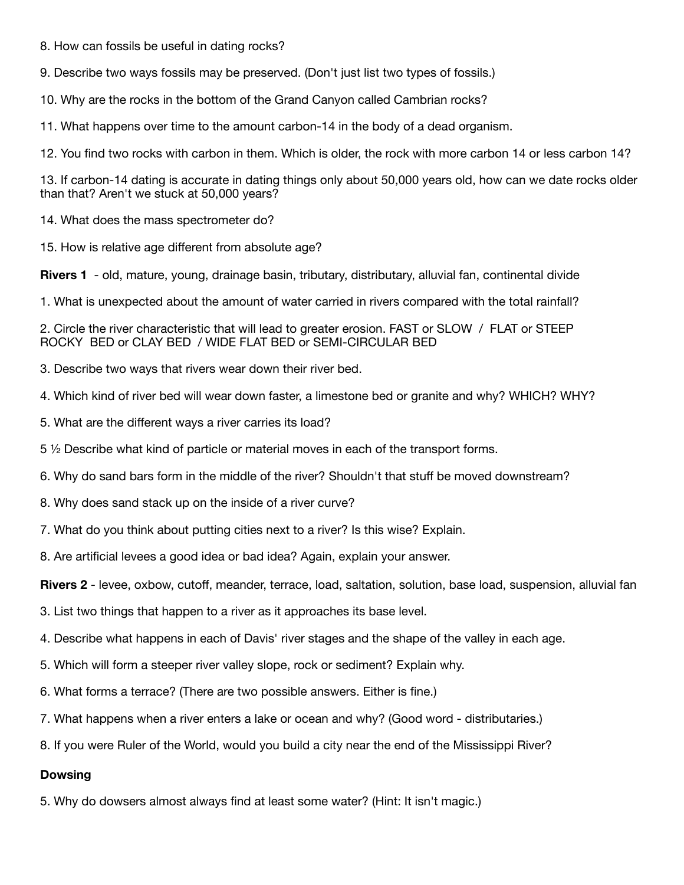8. How can fossils be useful in dating rocks?

9. Describe two ways fossils may be preserved. (Don't just list two types of fossils.)

10. Why are the rocks in the bottom of the Grand Canyon called Cambrian rocks?

11. What happens over time to the amount carbon-14 in the body of a dead organism.

12. You find two rocks with carbon in them. Which is older, the rock with more carbon 14 or less carbon 14?

13. If carbon-14 dating is accurate in dating things only about 50,000 years old, how can we date rocks older than that? Aren't we stuck at 50,000 years?

14. What does the mass spectrometer do?

15. How is relative age different from absolute age?

**Rivers 1** - old, mature, young, drainage basin, tributary, distributary, alluvial fan, continental divide

1. What is unexpected about the amount of water carried in rivers compared with the total rainfall?

2. Circle the river characteristic that will lead to greater erosion. FAST or SLOW / FLAT or STEEP ROCKY BED or CLAY BED / WIDE FLAT BED or SEMI-CIRCULAR BED

3. Describe two ways that rivers wear down their river bed.

4. Which kind of river bed will wear down faster, a limestone bed or granite and why? WHICH? WHY?

5. What are the different ways a river carries its load?

5 ½ Describe what kind of particle or material moves in each of the transport forms.

6. Why do sand bars form in the middle of the river? Shouldn't that stuff be moved downstream?

- 8. Why does sand stack up on the inside of a river curve?
- 7. What do you think about putting cities next to a river? Is this wise? Explain.

8. Are artificial levees a good idea or bad idea? Again, explain your answer.

**Rivers 2** - levee, oxbow, cutoff, meander, terrace, load, saltation, solution, base load, suspension, alluvial fan

3. List two things that happen to a river as it approaches its base level.

4. Describe what happens in each of Davis' river stages and the shape of the valley in each age.

- 5. Which will form a steeper river valley slope, rock or sediment? Explain why.
- 6. What forms a terrace? (There are two possible answers. Either is fine.)
- 7. What happens when a river enters a lake or ocean and why? (Good word distributaries.)
- 8. If you were Ruler of the World, would you build a city near the end of the Mississippi River?

#### **Dowsing**

5. Why do dowsers almost always find at least some water? (Hint: It isn't magic.)